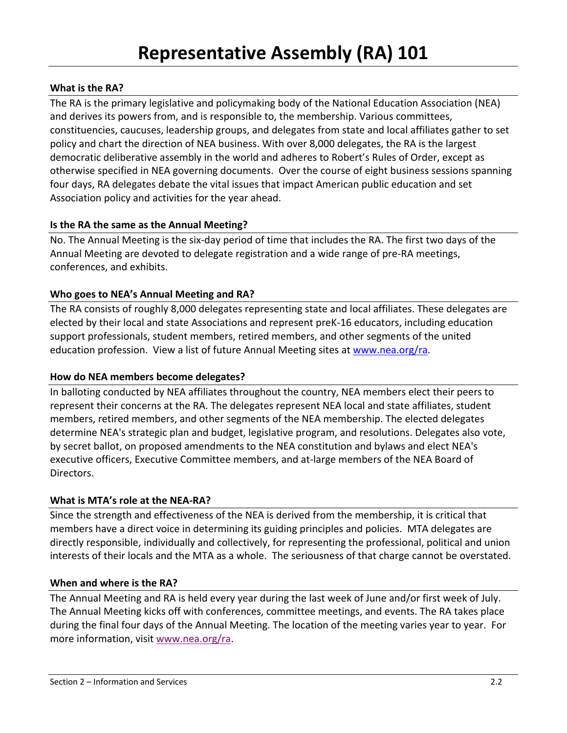# **What is the RA?**

The RA is the primary legislative and policymaking body of the National Education Association (NEA) and derives its powers from, and is responsible to, the membership. Various committees, constituencies, caucuses, leadership groups, and delegates from state and local affiliates gather to set policy and chart the direction of NEA business. With over 8,000 delegates, the RA is the largest democratic deliberative assembly in the world and adheres to Robert's Rules of Order, except as otherwise specified in NEA governing documents. Over the course of eight business sessions spanning four days, RA delegates debate the vital issues that impact American public education and set Association policy and activities for the year ahead.

# **Is the RA the same as the Annual Meeting?**

No. The Annual Meeting is the six-day period of time that includes the RA. The first two days of the Annual Meeting are devoted to delegate registration and a wide range of pre-RA meetings, conferences, and exhibits.

# **Who goes to NEA's Annual Meeting and RA?**

The RA consists of roughly 8,000 delegates representing state and local affiliates. These delegates are elected by their local and state Associations and represent preK-16 educators, including education support professionals, student members, retired members, and other segments of the united education profession. View a list of [future Annual Meeting sites](http://www.nea.org/grants/17767.htm) at [www.nea.org/ra.](http://www.nea.org/ra)

# **How do NEA members become delegates?**

In balloting conducted by NEA affiliates throughout the country, NEA members elect their peers to represent their concerns at the RA. The delegates represent NEA local and state affiliates, student members, retired members, and other segments of the NEA membership. The elected delegates determine NEA's strategic plan and budget, legislative program, and resolutions. Delegates also vote, by secret ballot, on proposed amendments to the NEA constitution and bylaws and elect NEA's executive officers, Executive Committee members, and at-large members of the NEA Board of Directors.

# **What is MTA's role at the NEA-RA?**

Since the strength and effectiveness of the NEA is derived from the membership, it is critical that members have a direct voice in determining its guiding principles and policies. MTA delegates are directly responsible, individually and collectively, for representing the professional, political and union interests of their locals and the MTA as a whole. The seriousness of that charge cannot be overstated.

# **When and where is the RA?**

The Annual Meeting and RA is held every year during the last week of June and/or first week of July. The Annual Meeting kicks off with conferences, committee meetings, and events. The RA takes place during the final four days of the Annual Meeting. The location of the meeting varies year to year. For more information, visit [www.nea.org/ra.](http://www.nea.org/ra)